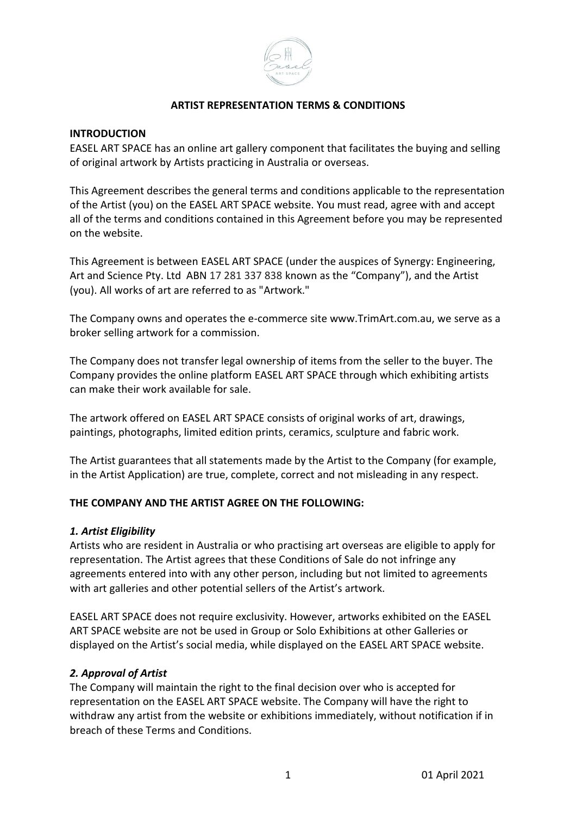

### **ARTIST REPRESENTATION TERMS & CONDITIONS**

#### **INTRODUCTION**

EASEL ART SPACE has an online art gallery component that facilitates the buying and selling of original artwork by Artists practicing in Australia or overseas.

This Agreement describes the general terms and conditions applicable to the representation of the Artist (you) on the EASEL ART SPACE website. You must read, agree with and accept all of the terms and conditions contained in this Agreement before you may be represented on the website.

This Agreement is between EASEL ART SPACE (under the auspices of Synergy: Engineering, Art and Science Pty. Ltd ABN 17 281 337 838 known as the "Company"), and the Artist (you). All works of art are referred to as "Artwork."

The Company owns and operates the e-commerce site www.TrimArt.com.au, we serve as a broker selling artwork for a commission.

The Company does not transfer legal ownership of items from the seller to the buyer. The Company provides the online platform EASEL ART SPACE through which exhibiting artists can make their work available for sale.

The artwork offered on EASEL ART SPACE consists of original works of art, drawings, paintings, photographs, limited edition prints, ceramics, sculpture and fabric work.

The Artist guarantees that all statements made by the Artist to the Company (for example, in the Artist Application) are true, complete, correct and not misleading in any respect.

#### **THE COMPANY AND THE ARTIST AGREE ON THE FOLLOWING:**

#### *1. Artist Eligibility*

Artists who are resident in Australia or who practising art overseas are eligible to apply for representation. The Artist agrees that these Conditions of Sale do not infringe any agreements entered into with any other person, including but not limited to agreements with art galleries and other potential sellers of the Artist's artwork.

EASEL ART SPACE does not require exclusivity. However, artworks exhibited on the EASEL ART SPACE website are not be used in Group or Solo Exhibitions at other Galleries or displayed on the Artist's social media, while displayed on the EASEL ART SPACE website.

#### *2. Approval of Artist*

The Company will maintain the right to the final decision over who is accepted for representation on the EASEL ART SPACE website. The Company will have the right to withdraw any artist from the website or exhibitions immediately, without notification if in breach of these Terms and Conditions.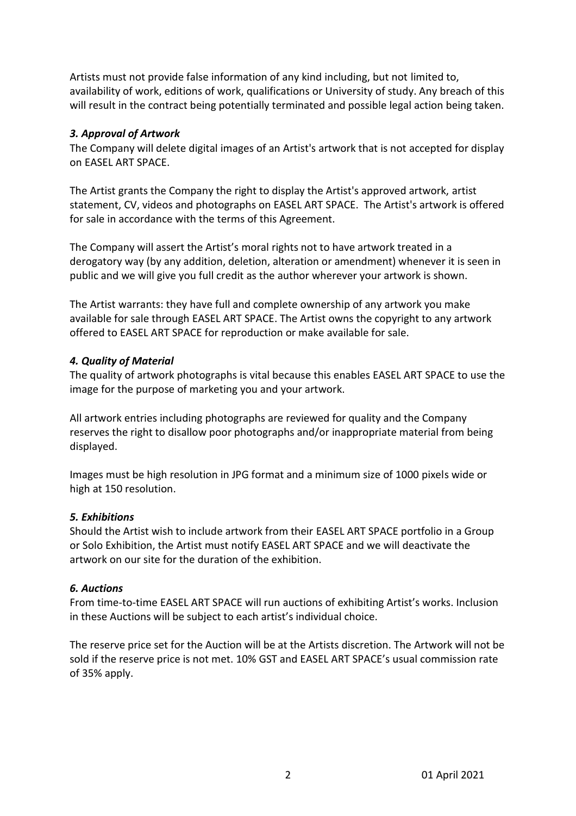Artists must not provide false information of any kind including, but not limited to, availability of work, editions of work, qualifications or University of study. Any breach of this will result in the contract being potentially terminated and possible legal action being taken.

### *3. Approval of Artwork*

The Company will delete digital images of an Artist's artwork that is not accepted for display on EASEL ART SPACE.

The Artist grants the Company the right to display the Artist's approved artwork, artist statement, CV, videos and photographs on EASEL ART SPACE. The Artist's artwork is offered for sale in accordance with the terms of this Agreement.

The Company will assert the Artist's moral rights not to have artwork treated in a derogatory way (by any addition, deletion, alteration or amendment) whenever it is seen in public and we will give you full credit as the author wherever your artwork is shown.

The Artist warrants: they have full and complete ownership of any artwork you make available for sale through EASEL ART SPACE. The Artist owns the copyright to any artwork offered to EASEL ART SPACE for reproduction or make available for sale.

# *4. Quality of Material*

The quality of artwork photographs is vital because this enables EASEL ART SPACE to use the image for the purpose of marketing you and your artwork.

All artwork entries including photographs are reviewed for quality and the Company reserves the right to disallow poor photographs and/or inappropriate material from being displayed.

Images must be high resolution in JPG format and a minimum size of 1000 pixels wide or high at 150 resolution.

# *5. Exhibitions*

Should the Artist wish to include artwork from their EASEL ART SPACE portfolio in a Group or Solo Exhibition, the Artist must notify EASEL ART SPACE and we will deactivate the artwork on our site for the duration of the exhibition.

# *6. Auctions*

From time-to-time EASEL ART SPACE will run auctions of exhibiting Artist's works. Inclusion in these Auctions will be subject to each artist's individual choice.

The reserve price set for the Auction will be at the Artists discretion. The Artwork will not be sold if the reserve price is not met. 10% GST and EASEL ART SPACE's usual commission rate of 35% apply.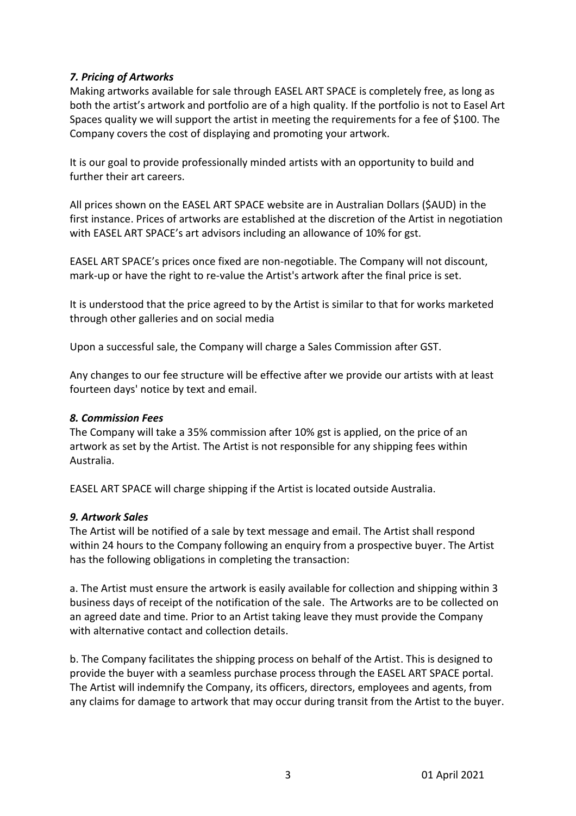# *7. Pricing of Artworks*

Making artworks available for sale through EASEL ART SPACE is completely free, as long as both the artist's artwork and portfolio are of a high quality. If the portfolio is not to Easel Art Spaces quality we will support the artist in meeting the requirements for a fee of \$100. The Company covers the cost of displaying and promoting your artwork.

It is our goal to provide professionally minded artists with an opportunity to build and further their art careers.

All prices shown on the EASEL ART SPACE website are in Australian Dollars (\$AUD) in the first instance. Prices of artworks are established at the discretion of the Artist in negotiation with EASEL ART SPACE's art advisors including an allowance of 10% for gst.

EASEL ART SPACE's prices once fixed are non-negotiable. The Company will not discount, mark-up or have the right to re-value the Artist's artwork after the final price is set.

It is understood that the price agreed to by the Artist is similar to that for works marketed through other galleries and on social media

Upon a successful sale, the Company will charge a Sales Commission after GST.

Any changes to our fee structure will be effective after we provide our artists with at least fourteen days' notice by text and email.

# *8. Commission Fees*

The Company will take a 35% commission after 10% gst is applied, on the price of an artwork as set by the Artist. The Artist is not responsible for any shipping fees within Australia.

EASEL ART SPACE will charge shipping if the Artist is located outside Australia.

# *9. Artwork Sales*

The Artist will be notified of a sale by text message and email. The Artist shall respond within 24 hours to the Company following an enquiry from a prospective buyer. The Artist has the following obligations in completing the transaction:

a. The Artist must ensure the artwork is easily available for collection and shipping within 3 business days of receipt of the notification of the sale. The Artworks are to be collected on an agreed date and time. Prior to an Artist taking leave they must provide the Company with alternative contact and collection details.

b. The Company facilitates the shipping process on behalf of the Artist. This is designed to provide the buyer with a seamless purchase process through the EASEL ART SPACE portal. The Artist will indemnify the Company, its officers, directors, employees and agents, from any claims for damage to artwork that may occur during transit from the Artist to the buyer.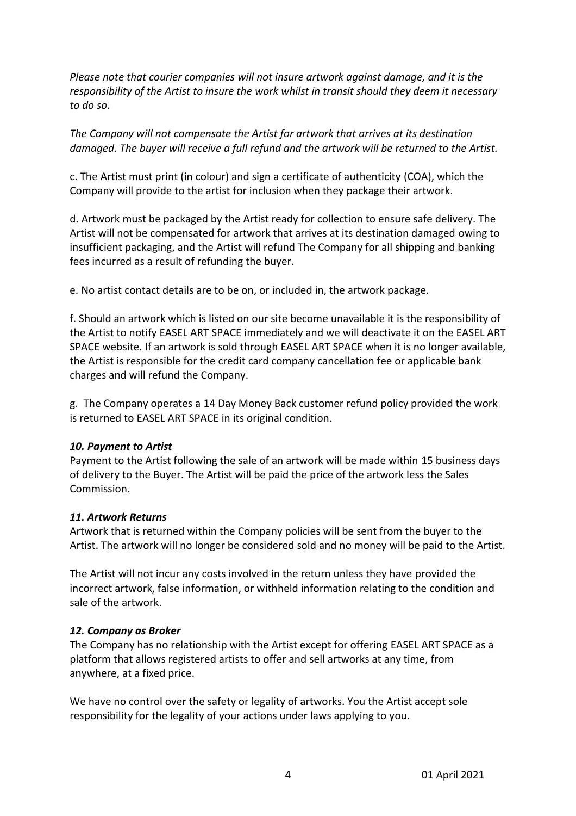*Please note that courier companies will not insure artwork against damage, and it is the responsibility of the Artist to insure the work whilst in transit should they deem it necessary to do so.* 

*The Company will not compensate the Artist for artwork that arrives at its destination damaged. The buyer will receive a full refund and the artwork will be returned to the Artist.*

c. The Artist must print (in colour) and sign a certificate of authenticity (COA), which the Company will provide to the artist for inclusion when they package their artwork.

d. Artwork must be packaged by the Artist ready for collection to ensure safe delivery. The Artist will not be compensated for artwork that arrives at its destination damaged owing to insufficient packaging, and the Artist will refund The Company for all shipping and banking fees incurred as a result of refunding the buyer.

e. No artist contact details are to be on, or included in, the artwork package.

f. Should an artwork which is listed on our site become unavailable it is the responsibility of the Artist to notify EASEL ART SPACE immediately and we will deactivate it on the EASEL ART SPACE website. If an artwork is sold through EASEL ART SPACE when it is no longer available, the Artist is responsible for the credit card company cancellation fee or applicable bank charges and will refund the Company.

g. The Company operates a 14 Day Money Back customer refund policy provided the work is returned to EASEL ART SPACE in its original condition.

#### *10. Payment to Artist*

Payment to the Artist following the sale of an artwork will be made within 15 business days of delivery to the Buyer. The Artist will be paid the price of the artwork less the Sales Commission.

#### *11. Artwork Returns*

Artwork that is returned within the Company policies will be sent from the buyer to the Artist. The artwork will no longer be considered sold and no money will be paid to the Artist.

The Artist will not incur any costs involved in the return unless they have provided the incorrect artwork, false information, or withheld information relating to the condition and sale of the artwork.

#### *12. Company as Broker*

The Company has no relationship with the Artist except for offering EASEL ART SPACE as a platform that allows registered artists to offer and sell artworks at any time, from anywhere, at a fixed price.

We have no control over the safety or legality of artworks. You the Artist accept sole responsibility for the legality of your actions under laws applying to you.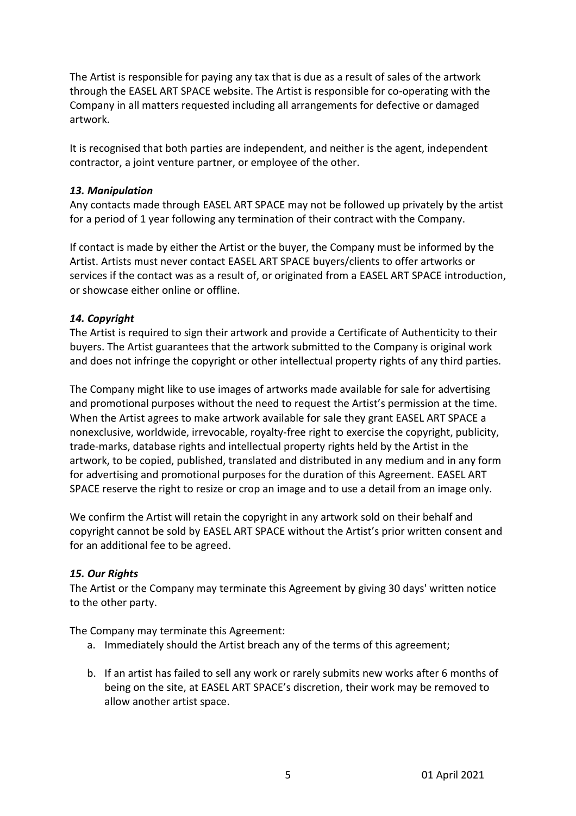The Artist is responsible for paying any tax that is due as a result of sales of the artwork through the EASEL ART SPACE website. The Artist is responsible for co-operating with the Company in all matters requested including all arrangements for defective or damaged artwork.

It is recognised that both parties are independent, and neither is the agent, independent contractor, a joint venture partner, or employee of the other.

### *13. Manipulation*

Any contacts made through EASEL ART SPACE may not be followed up privately by the artist for a period of 1 year following any termination of their contract with the Company.

If contact is made by either the Artist or the buyer, the Company must be informed by the Artist. Artists must never contact EASEL ART SPACE buyers/clients to offer artworks or services if the contact was as a result of, or originated from a EASEL ART SPACE introduction, or showcase either online or offline.

### *14. Copyright*

The Artist is required to sign their artwork and provide a Certificate of Authenticity to their buyers. The Artist guarantees that the artwork submitted to the Company is original work and does not infringe the copyright or other intellectual property rights of any third parties.

The Company might like to use images of artworks made available for sale for advertising and promotional purposes without the need to request the Artist's permission at the time. When the Artist agrees to make artwork available for sale they grant EASEL ART SPACE a nonexclusive, worldwide, irrevocable, royalty-free right to exercise the copyright, publicity, trade-marks, database rights and intellectual property rights held by the Artist in the artwork, to be copied, published, translated and distributed in any medium and in any form for advertising and promotional purposes for the duration of this Agreement. EASEL ART SPACE reserve the right to resize or crop an image and to use a detail from an image only.

We confirm the Artist will retain the copyright in any artwork sold on their behalf and copyright cannot be sold by EASEL ART SPACE without the Artist's prior written consent and for an additional fee to be agreed.

# *15. Our Rights*

The Artist or the Company may terminate this Agreement by giving 30 days' written notice to the other party.

The Company may terminate this Agreement:

- a. Immediately should the Artist breach any of the terms of this agreement;
- b. If an artist has failed to sell any work or rarely submits new works after 6 months of being on the site, at EASEL ART SPACE's discretion, their work may be removed to allow another artist space.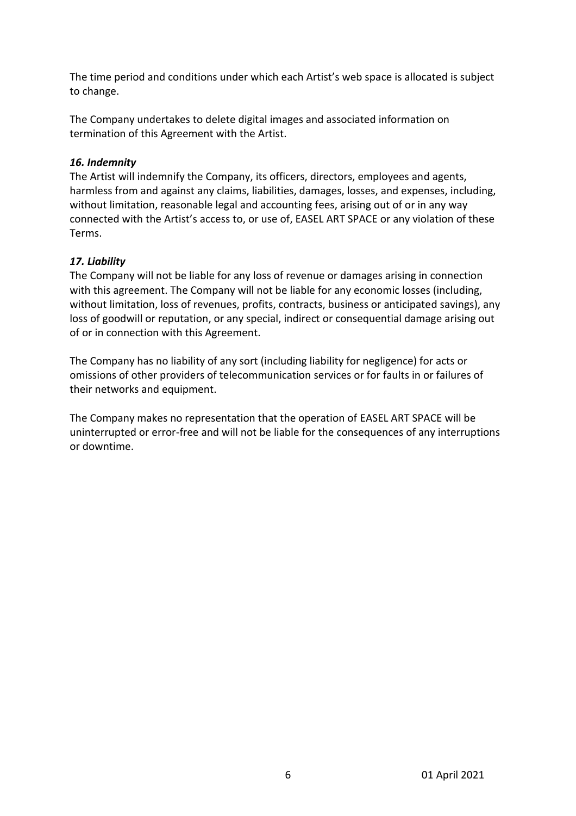The time period and conditions under which each Artist's web space is allocated is subject to change.

The Company undertakes to delete digital images and associated information on termination of this Agreement with the Artist.

# *16. Indemnity*

The Artist will indemnify the Company, its officers, directors, employees and agents, harmless from and against any claims, liabilities, damages, losses, and expenses, including, without limitation, reasonable legal and accounting fees, arising out of or in any way connected with the Artist's access to, or use of, EASEL ART SPACE or any violation of these Terms.

# *17. Liability*

The Company will not be liable for any loss of revenue or damages arising in connection with this agreement. The Company will not be liable for any economic losses (including, without limitation, loss of revenues, profits, contracts, business or anticipated savings), any loss of goodwill or reputation, or any special, indirect or consequential damage arising out of or in connection with this Agreement.

The Company has no liability of any sort (including liability for negligence) for acts or omissions of other providers of telecommunication services or for faults in or failures of their networks and equipment.

The Company makes no representation that the operation of EASEL ART SPACE will be uninterrupted or error-free and will not be liable for the consequences of any interruptions or downtime.